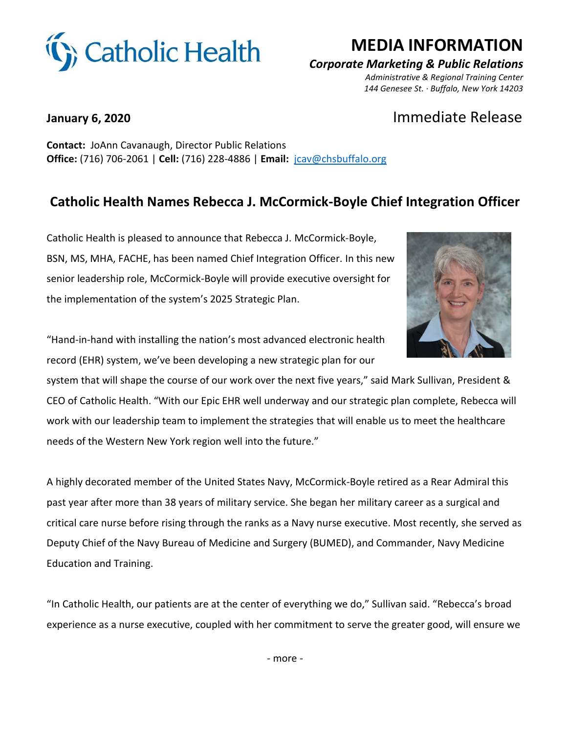

# **MEDIA INFORMATION**

### *Corporate Marketing & Public Relations*

 *Administrative & Regional Training Center 144 Genesee St. · Buffalo, New York 14203*

## **January 6, 2020** Immediate Release

**Contact:** JoAnn Cavanaugh, Director Public Relations **Office:** (716) 706-2061 | **Cell:** (716) 228-4886 | **Email:** [jcav@chsbuffalo.org](mailto:jcav@chsbuffalo.org)

### **Catholic Health Names Rebecca J. McCormick-Boyle Chief Integration Officer**

Catholic Health is pleased to announce that Rebecca J. McCormick-Boyle, BSN, MS, MHA, FACHE, has been named Chief Integration Officer. In this new senior leadership role, McCormick-Boyle will provide executive oversight for the implementation of the system's 2025 Strategic Plan.



"Hand-in-hand with installing the nation's most advanced electronic health record (EHR) system, we've been developing a new strategic plan for our

system that will shape the course of our work over the next five years," said Mark Sullivan, President & CEO of Catholic Health. "With our Epic EHR well underway and our strategic plan complete, Rebecca will work with our leadership team to implement the strategies that will enable us to meet the healthcare needs of the Western New York region well into the future."

A highly decorated member of the United States Navy, McCormick-Boyle retired as a Rear Admiral this past year after more than 38 years of military service. She began her military career as a surgical and critical care nurse before rising through the ranks as a Navy nurse executive. Most recently, she served as Deputy Chief of the Navy Bureau of Medicine and Surgery (BUMED), and Commander, Navy Medicine Education and Training.

"In Catholic Health, our patients are at the center of everything we do," Sullivan said. "Rebecca's broad experience as a nurse executive, coupled with her commitment to serve the greater good, will ensure we